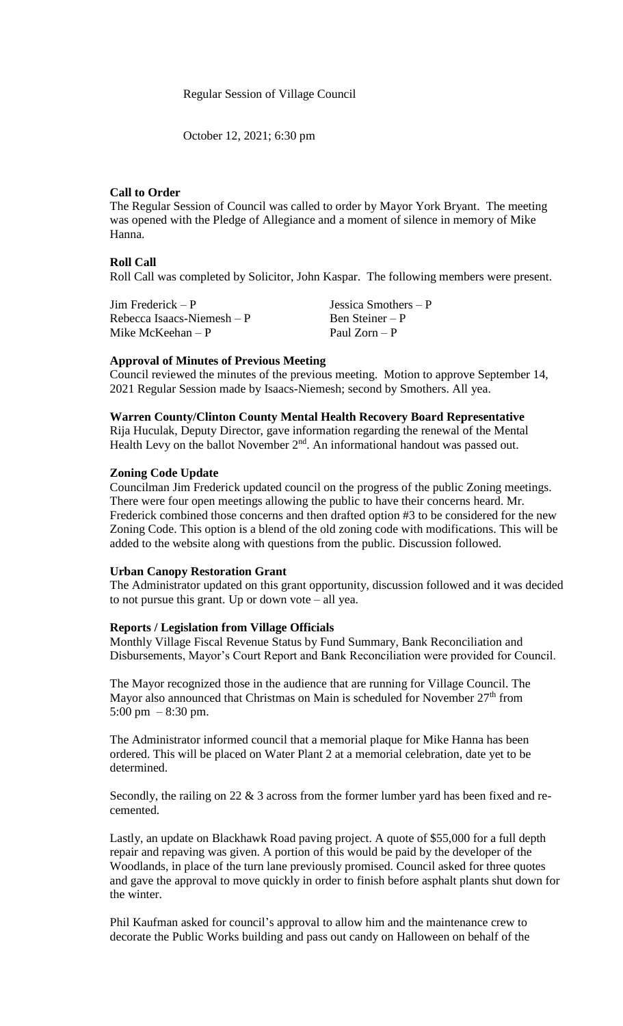Regular Session of Village Council

October 12, 2021; 6:30 pm

### **Call to Order**

The Regular Session of Council was called to order by Mayor York Bryant. The meeting was opened with the Pledge of Allegiance and a moment of silence in memory of Mike Hanna.

### **Roll Call**

Roll Call was completed by Solicitor, John Kaspar. The following members were present.

| Jim Frederick $- P$         | Jessica Smothers $-P$ |
|-----------------------------|-----------------------|
| Rebecca Isaacs-Niemesh $-P$ | Ben Steiner $- P$     |
| Mike McKeehan $-P$          | Paul Zorn – P         |

### **Approval of Minutes of Previous Meeting**

Council reviewed the minutes of the previous meeting. Motion to approve September 14, 2021 Regular Session made by Isaacs-Niemesh; second by Smothers. All yea.

### **Warren County/Clinton County Mental Health Recovery Board Representative**

Rija Huculak, Deputy Director, gave information regarding the renewal of the Mental Health Levy on the ballot November 2<sup>nd</sup>. An informational handout was passed out.

## **Zoning Code Update**

Councilman Jim Frederick updated council on the progress of the public Zoning meetings. There were four open meetings allowing the public to have their concerns heard. Mr. Frederick combined those concerns and then drafted option #3 to be considered for the new Zoning Code. This option is a blend of the old zoning code with modifications. This will be added to the website along with questions from the public. Discussion followed.

### **Urban Canopy Restoration Grant**

The Administrator updated on this grant opportunity, discussion followed and it was decided to not pursue this grant. Up or down vote – all yea.

#### **Reports / Legislation from Village Officials**

Monthly Village Fiscal Revenue Status by Fund Summary, Bank Reconciliation and Disbursements, Mayor's Court Report and Bank Reconciliation were provided for Council.

The Mayor recognized those in the audience that are running for Village Council. The Mayor also announced that Christmas on Main is scheduled for November  $27<sup>th</sup>$  from 5:00 pm  $-8:30$  pm.

The Administrator informed council that a memorial plaque for Mike Hanna has been ordered. This will be placed on Water Plant 2 at a memorial celebration, date yet to be determined.

Secondly, the railing on 22 & 3 across from the former lumber yard has been fixed and recemented.

Lastly, an update on Blackhawk Road paving project. A quote of \$55,000 for a full depth repair and repaving was given. A portion of this would be paid by the developer of the Woodlands, in place of the turn lane previously promised. Council asked for three quotes and gave the approval to move quickly in order to finish before asphalt plants shut down for the winter.

Phil Kaufman asked for council's approval to allow him and the maintenance crew to decorate the Public Works building and pass out candy on Halloween on behalf of the